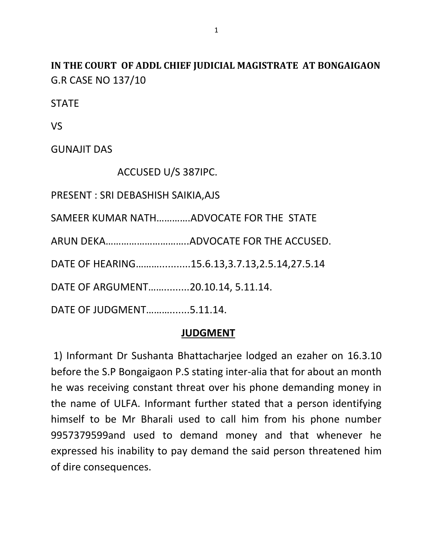**IN THE COURT OF ADDL CHIEF JUDICIAL MAGISTRATE AT BONGAIGAON** G.R CASE NO 137/10

**STATE** 

VS

GUNAJIT DAS

ACCUSED U/S 387IPC.

PRESENT : SRI DEBASHISH SAIKIA,AJS

SAMEER KUMAR NATH………….ADVOCATE FOR THE STATE

ARUN DEKA…………………………..ADVOCATE FOR THE ACCUSED.

DATE OF HEARING………...........15.6.13,3.7.13,2.5.14,27.5.14

DATE OF ARGUMENT…….........20.10.14, 5.11.14.

DATE OF JUDGMENT……….......5.11.14.

## **JUDGMENT**

1) Informant Dr Sushanta Bhattacharjee lodged an ezaher on 16.3.10 before the S.P Bongaigaon P.S stating inter-alia that for about an month he was receiving constant threat over his phone demanding money in the name of ULFA. Informant further stated that a person identifying himself to be Mr Bharali used to call him from his phone number 9957379599and used to demand money and that whenever he expressed his inability to pay demand the said person threatened him of dire consequences.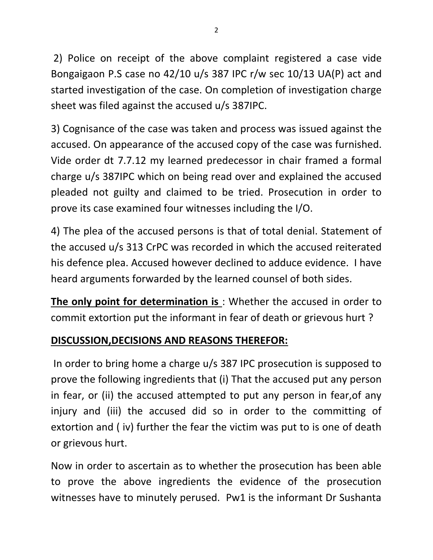2) Police on receipt of the above complaint registered a case vide Bongaigaon P.S case no 42/10 u/s 387 IPC r/w sec 10/13 UA(P) act and started investigation of the case. On completion of investigation charge sheet was filed against the accused u/s 387IPC.

3) Cognisance of the case was taken and process was issued against the accused. On appearance of the accused copy of the case was furnished. Vide order dt 7.7.12 my learned predecessor in chair framed a formal charge u/s 387IPC which on being read over and explained the accused pleaded not guilty and claimed to be tried. Prosecution in order to prove its case examined four witnesses including the I/O.

4) The plea of the accused persons is that of total denial. Statement of the accused u/s 313 CrPC was recorded in which the accused reiterated his defence plea. Accused however declined to adduce evidence. I have heard arguments forwarded by the learned counsel of both sides.

**The only point for determination is** : Whether the accused in order to commit extortion put the informant in fear of death or grievous hurt ?

## **DISCUSSION,DECISIONS AND REASONS THEREFOR:**

In order to bring home a charge u/s 387 IPC prosecution is supposed to prove the following ingredients that (i) That the accused put any person in fear, or (ii) the accused attempted to put any person in fear,of any injury and (iii) the accused did so in order to the committing of extortion and ( iv) further the fear the victim was put to is one of death or grievous hurt.

Now in order to ascertain as to whether the prosecution has been able to prove the above ingredients the evidence of the prosecution witnesses have to minutely perused. Pw1 is the informant Dr Sushanta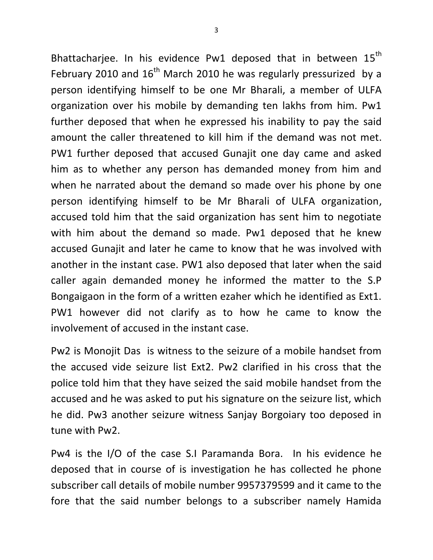Bhattacharjee. In his evidence Pw1 deposed that in between  $15^{th}$ February 2010 and  $16<sup>th</sup>$  March 2010 he was regularly pressurized by a person identifying himself to be one Mr Bharali, a member of ULFA organization over his mobile by demanding ten lakhs from him. Pw1 further deposed that when he expressed his inability to pay the said amount the caller threatened to kill him if the demand was not met. PW1 further deposed that accused Gunajit one day came and asked him as to whether any person has demanded money from him and when he narrated about the demand so made over his phone by one person identifying himself to be Mr Bharali of ULFA organization, accused told him that the said organization has sent him to negotiate with him about the demand so made. Pw1 deposed that he knew accused Gunajit and later he came to know that he was involved with another in the instant case. PW1 also deposed that later when the said caller again demanded money he informed the matter to the S.P Bongaigaon in the form of a written ezaher which he identified as Ext1. PW1 however did not clarify as to how he came to know the involvement of accused in the instant case.

Pw2 is Monojit Das is witness to the seizure of a mobile handset from the accused vide seizure list Ext2. Pw2 clarified in his cross that the police told him that they have seized the said mobile handset from the accused and he was asked to put his signature on the seizure list, which he did. Pw3 another seizure witness Sanjay Borgoiary too deposed in tune with Pw2.

Pw4 is the I/O of the case S.I Paramanda Bora. In his evidence he deposed that in course of is investigation he has collected he phone subscriber call details of mobile number 9957379599 and it came to the fore that the said number belongs to a subscriber namely Hamida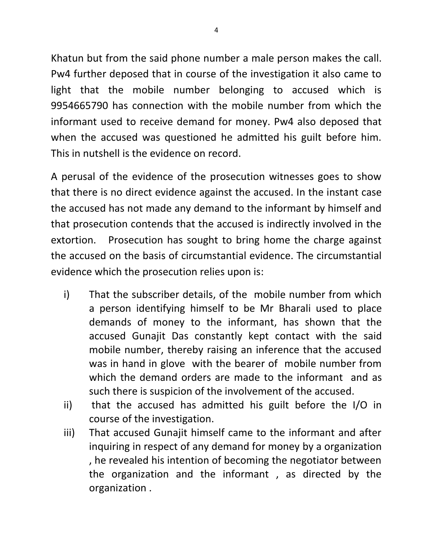Khatun but from the said phone number a male person makes the call. Pw4 further deposed that in course of the investigation it also came to light that the mobile number belonging to accused which is 9954665790 has connection with the mobile number from which the informant used to receive demand for money. Pw4 also deposed that when the accused was questioned he admitted his guilt before him. This in nutshell is the evidence on record.

A perusal of the evidence of the prosecution witnesses goes to show that there is no direct evidence against the accused. In the instant case the accused has not made any demand to the informant by himself and that prosecution contends that the accused is indirectly involved in the extortion. Prosecution has sought to bring home the charge against the accused on the basis of circumstantial evidence. The circumstantial evidence which the prosecution relies upon is:

- i) That the subscriber details, of the mobile number from which a person identifying himself to be Mr Bharali used to place demands of money to the informant, has shown that the accused Gunajit Das constantly kept contact with the said mobile number, thereby raising an inference that the accused was in hand in glove with the bearer of mobile number from which the demand orders are made to the informant and as such there is suspicion of the involvement of the accused.
- ii) that the accused has admitted his guilt before the I/O in course of the investigation.
- iii) That accused Gunajit himself came to the informant and after inquiring in respect of any demand for money by a organization , he revealed his intention of becoming the negotiator between the organization and the informant , as directed by the organization .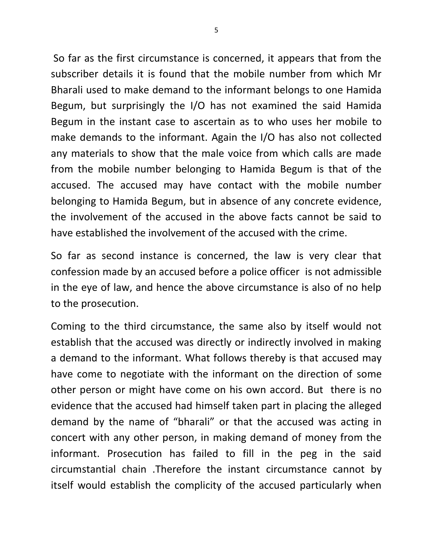So far as the first circumstance is concerned, it appears that from the subscriber details it is found that the mobile number from which Mr Bharali used to make demand to the informant belongs to one Hamida Begum, but surprisingly the I/O has not examined the said Hamida Begum in the instant case to ascertain as to who uses her mobile to make demands to the informant. Again the I/O has also not collected any materials to show that the male voice from which calls are made from the mobile number belonging to Hamida Begum is that of the accused. The accused may have contact with the mobile number belonging to Hamida Begum, but in absence of any concrete evidence, the involvement of the accused in the above facts cannot be said to have established the involvement of the accused with the crime.

So far as second instance is concerned, the law is very clear that confession made by an accused before a police officer is not admissible in the eye of law, and hence the above circumstance is also of no help to the prosecution.

Coming to the third circumstance, the same also by itself would not establish that the accused was directly or indirectly involved in making a demand to the informant. What follows thereby is that accused may have come to negotiate with the informant on the direction of some other person or might have come on his own accord. But there is no evidence that the accused had himself taken part in placing the alleged demand by the name of "bharali" or that the accused was acting in concert with any other person, in making demand of money from the informant. Prosecution has failed to fill in the peg in the said circumstantial chain .Therefore the instant circumstance cannot by itself would establish the complicity of the accused particularly when